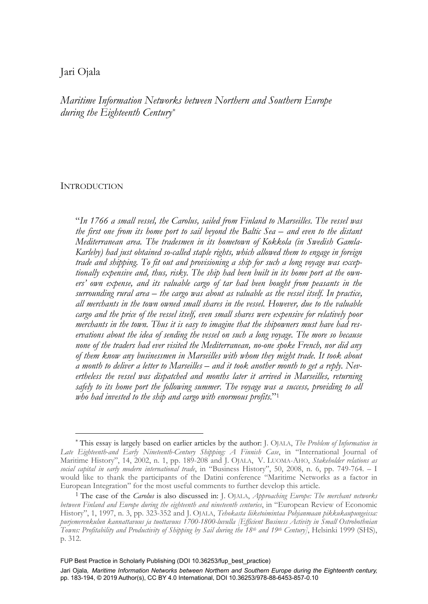# Jari Ojala

*Maritime Information Networks between Northern and Southern Europe during the Eighteenth Century\**

## **INTRODUCTION**

-

"*In 1766 a small vessel, the Carolus, sailed from Finland to Marseilles. The vessel was the first one from its home port to sail beyond the Baltic Sea – and even to the distant Mediterranean area. The tradesmen in its hometown of Kokkola (in Swedish Gamla-Karleby) had just obtained so-called staple rights, which allowed them to engage in foreign trade and shipping. To fit out and provisioning a ship for such a long voyage was exceptionally expensive and, thus, risky. The ship had been built in its home port at the owners' own expense, and its valuable cargo of tar had been bought from peasants in the surrounding rural area – the cargo was about as valuable as the vessel itself. In practice, all merchants in the town owned small shares in the vessel. However, due to the valuable cargo and the price of the vessel itself, even small shares were expensive for relatively poor merchants in the town. Thus it is easy to imagine that the shipowners must have had reservations about the idea of sending the vessel on such a long voyage. The more so because none of the traders had ever visited the Mediterranean, no-one spoke French, nor did any of them know any businessmen in Marseilles with whom they might trade. It took about a month to deliver a letter to Marseilles – and it took another month to get a reply. Nevertheless the vessel was dispatched and months later it arrived in Marseilles, returning*  safely to its home port the following summer. The voyage was a success, providing to all *who had invested to the ship and cargo with enormous profits.*"1

FUP Best Practice in Scholarly Publishing (DOI [10.36253/fup\\_best\\_practice\)](https://doi.org/10.36253/fup_best_practice)

<sup>\*</sup> This essay is largely based on earlier articles by the author: J. OJALA, *The Problem of Information in Late Eighteenth-and Early Nineteenth-Century Shipping: A Finnish Case*, in "International Journal of Maritime History", 14, 2002, n. 1, pp. 189-208 and J. OJALA, V. LUOMA-AHO, *Stakeholder relations as social capital in early modern international trade*, in "Business History", 50, 2008, n. 6, pp. 749-764. – I would like to thank the participants of the Datini conference "Maritime Networks as a factor in<br>European Integration" for the most useful comments to further develop this article.

<sup>&</sup>lt;sup>1</sup> The case of the *Carolus* is also discussed in: J. OJALA, *Approaching Europe: The merchant networks between Finland and Europe during the eighteenth and nineteenth centuries*, in "European Review of Economic History", 1, 1997, n. 3, pp. 323-352 and J. OJALA, *Tehokasta liiketoimintaa Pohjanmaan pikkukaupungeissa: purjemerenkulun kannattavuus ja tuottavuus 1700-1800-luvulla [Efficient Business Activity in Small Ostrobothnian Towns: Profitability and Productivity of Shipping by Sail during the 18th and 19th Century]*, Helsinki 1999 (SHS), p. 312.

Jari Ojala*, Maritime Information Networks between Northern and Southern Europe during the Eighteenth century,* pp. 183-194, © 2019 Author(s), [CC BY 4.0 International,](http://creativecommons.org/licenses/by/4.0/legalcode) DOI [10.36253/978-88-6453-857-0.10](https://doi.org/10.36253/978-88-6453-857-0.10)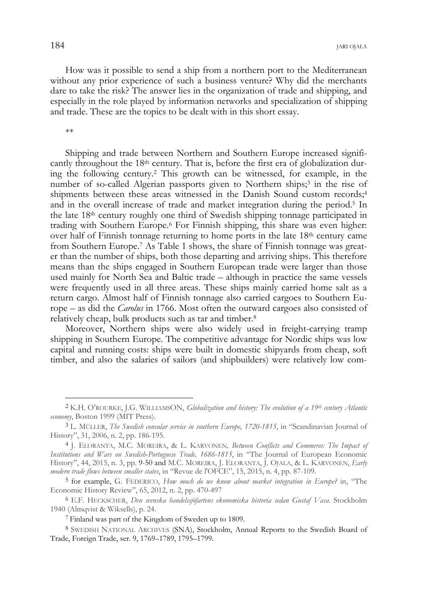How was it possible to send a ship from a northern port to the Mediterranean without any prior experience of such a business venture? Why did the merchants dare to take the risk? The answer lies in the organization of trade and shipping, and especially in the role played by information networks and specialization of shipping and trade. These are the topics to be dealt with in this short essay.

\*\*

j

Shipping and trade between Northern and Southern Europe increased significantly throughout the 18th century. That is, before the first era of globalization during the following century.2 This growth can be witnessed, for example, in the number of so-called Algerian passports given to Northern ships;<sup>3</sup> in the rise of shipments between these areas witnessed in the Danish Sound custom records;4 and in the overall increase of trade and market integration during the period.<sup>5</sup> In the late 18th century roughly one third of Swedish shipping tonnage participated in trading with Southern Europe.6 For Finnish shipping, this share was even higher: over half of Finnish tonnage returning to home ports in the late 18th century came from Southern Europe.7 As Table 1 shows, the share of Finnish tonnage was greater than the number of ships, both those departing and arriving ships. This therefore means than the ships engaged in Southern European trade were larger than those used mainly for North Sea and Baltic trade – although in practice the same vessels were frequently used in all three areas. These ships mainly carried home salt as a return cargo. Almost half of Finnish tonnage also carried cargoes to Southern Europe – as did the *Carolus* in 1766. Most often the outward cargoes also consisted of relatively cheap, bulk products such as tar and timber.8

Moreover, Northern ships were also widely used in freight-carrying tramp shipping in Southern Europe. The competitive advantage for Nordic ships was low capital and running costs: ships were built in domestic shipyards from cheap, soft timber, and also the salaries of sailors (and shipbuilders) were relatively low com-

<sup>2</sup> K.H. O'ROURKE, J.G. WILLIAMSON, *Globalization and history: The evolution of a 19th century Atlantic economy*, Boston 1999 (MIT Press).

<sup>3</sup> L. MÜLLER, *The Swedish consular service in southern Europe, 1720-1815*, in "Scandinavian Journal of History", 31, 2006, n. 2, pp. 186-195.

<sup>4</sup> J. ELORANTA, M.C. MOREIRA, & L. KARVONEN*, Between Conflicts and Commerce: The Impact of Institutions and Wars on Swedish-Portuguese Trade, 1686-1815*, in "The Journal of European Economic History", 44, 2015, n. 3, pp. 9-50 and M.C. MOREIRA, J. ELORANTA, J. OJALA, & L. KARVONEN, *Early modern trade flows between smaller states*, in "Revue de l'OFCE", 15, 2015, n. 4, pp. 87-109.

<sup>5</sup> for example, G. FEDERICO, *How much do we know about market integration in Europe?* in, "The Economic History Review", 65, 2012, n. 2, pp. 470-497

<sup>6</sup> E.F. HECKSCHER, *Den svenska handelssjöfartens ekonomiska historia sedan Gustaf Vasa*. Stockholm 1940 (Almqvist & Wiksells), p. 24.

<sup>&</sup>lt;sup>7</sup> Finland was part of the Kingdom of Sweden up to 1809.

<sup>8</sup> SWEDISH NATIONAL ARCHIVES (SNA), Stockholm, Annual Reports to the Swedish Board of Trade, Foreign Trade, ser. 9, 1769–1789, 1795–1799.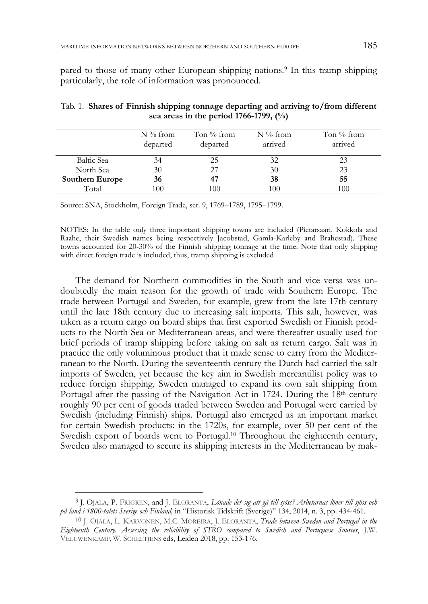pared to those of many other European shipping nations.9 In this tramp shipping particularly, the role of information was pronounced.

|                        | $N\%$ from<br>departed | Ton $%$ from<br>departed | $N\%$ from<br>arrived | Ton $%$ from<br>arrived |
|------------------------|------------------------|--------------------------|-----------------------|-------------------------|
| Baltic Sea             | 34                     | 25                       | 32                    | 23                      |
| North Sea              | 30                     | 27                       | 30                    | 23                      |
| <b>Southern Europe</b> | 36                     | 47                       | 38                    | 55                      |
| Total                  | 100                    | 100                      | 100                   | 100                     |

Tab. 1. **Shares of Finnish shipping tonnage departing and arriving to/from different sea areas in the period 1766-1799, (%)** 

Source: SNA, Stockholm, Foreign Trade, ser. 9, 1769–1789, 1795–1799.

NOTES: In the table only three important shipping towns are included (Pietarsaari, Kokkola and Raahe, their Swedish names being respectively Jacobstad, Gamla-Karleby and Brahestad). These towns accounted for 20-30% of the Finnish shipping tonnage at the time. Note that only shipping with direct foreign trade is included, thus, tramp shipping is excluded

The demand for Northern commodities in the South and vice versa was undoubtedly the main reason for the growth of trade with Southern Europe. The trade between Portugal and Sweden, for example, grew from the late 17th century until the late 18th century due to increasing salt imports. This salt, however, was taken as a return cargo on board ships that first exported Swedish or Finnish products to the North Sea or Mediterranean areas, and were thereafter usually used for brief periods of tramp shipping before taking on salt as return cargo. Salt was in practice the only voluminous product that it made sense to carry from the Mediterranean to the North. During the seventeenth century the Dutch had carried the salt imports of Sweden, yet because the key aim in Swedish mercantilist policy was to reduce foreign shipping, Sweden managed to expand its own salt shipping from Portugal after the passing of the Navigation Act in 1724. During the 18<sup>th</sup> century roughly 90 per cent of goods traded between Sweden and Portugal were carried by Swedish (including Finnish) ships. Portugal also emerged as an important market for certain Swedish products: in the 1720s, for example, over 50 per cent of the Swedish export of boards went to Portugal.10 Throughout the eighteenth century, Sweden also managed to secure its shipping interests in the Mediterranean by mak-

<sup>9</sup> J. OJALA, P. FRIGREN, and J. ELORANTA, *Lönade det sig att gå till sjöss? Arbetarnas löner till sjöss och på land i 1800-talets Sverige och Finland,* in "Historisk Tidskrift (Sverige)" 134, 2014, n. 3, pp. 434-461.

<sup>10</sup> J. OJALA, L. KARVONEN, M.C. MOREIRA, J. ELORANTA, *Trade between Sweden and Portugal in the Eighteenth Century. Assessing the reliability of STRO compared to Swedish and Portuguese Sources*, J.W. VELUWENKAMP, W. SCHELTJENS eds, Leiden 2018, pp. 153-176.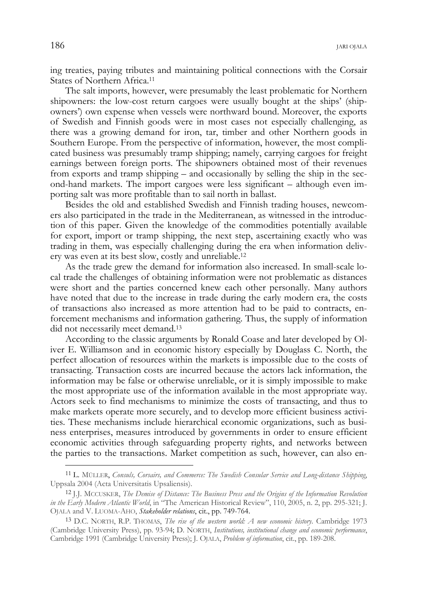ing treaties, paying tributes and maintaining political connections with the Corsair States of Northern Africa.11

The salt imports, however, were presumably the least problematic for Northern shipowners: the low-cost return cargoes were usually bought at the ships' (shipowners') own expense when vessels were northward bound. Moreover, the exports of Swedish and Finnish goods were in most cases not especially challenging, as there was a growing demand for iron, tar, timber and other Northern goods in Southern Europe. From the perspective of information, however, the most complicated business was presumably tramp shipping; namely, carrying cargoes for freight earnings between foreign ports. The shipowners obtained most of their revenues from exports and tramp shipping – and occasionally by selling the ship in the second-hand markets. The import cargoes were less significant – although even importing salt was more profitable than to sail north in ballast.

Besides the old and established Swedish and Finnish trading houses, newcomers also participated in the trade in the Mediterranean, as witnessed in the introduction of this paper. Given the knowledge of the commodities potentially available for export, import or tramp shipping, the next step, ascertaining exactly who was trading in them, was especially challenging during the era when information delivery was even at its best slow, costly and unreliable.12

As the trade grew the demand for information also increased. In small-scale local trade the challenges of obtaining information were not problematic as distances were short and the parties concerned knew each other personally. Many authors have noted that due to the increase in trade during the early modern era, the costs of transactions also increased as more attention had to be paid to contracts, enforcement mechanisms and information gathering. Thus, the supply of information did not necessarily meet demand.13

According to the classic arguments by Ronald Coase and later developed by Oliver E. Williamson and in economic history especially by Douglass C. North, the perfect allocation of resources within the markets is impossible due to the costs of transacting. Transaction costs are incurred because the actors lack information, the information may be false or otherwise unreliable, or it is simply impossible to make the most appropriate use of the information available in the most appropriate way. Actors seek to find mechanisms to minimize the costs of transacting, and thus to make markets operate more securely, and to develop more efficient business activities. These mechanisms include hierarchical economic organizations, such as business enterprises, measures introduced by governments in order to ensure efficient economic activities through safeguarding property rights, and networks between the parties to the transactions. Market competition as such, however, can also en-

<sup>11</sup> L. MÜLLER, *Consuls, Corsairs, and Commerce: The Swedish Consular Service and Long-distance Shipping*, Uppsala 2004 (Acta Universitatis Upsaliensis).

<sup>12</sup> J.J. MCCUSKER, *The Demise of Distance: The Business Press and the Origins of the Information Revolution in the Early Modern Atlantic World*, in "The American Historical Review", 110, 2005, n. 2, pp. 295-321; J. OJALA and V. LUOMA-AHO, *Stakeholder relations*, cit., pp. 749-764.

<sup>13</sup> D.C. NORTH, R.P. THOMAS, *The rise of the western world: A new economic history*. Cambridge 1973 (Cambridge University Press), pp. 93-94; D. NORTH, *Institutions, institutional change and economic performance*, Cambridge 1991 (Cambridge University Press); J. OJALA, *Problem of information*, cit., pp. 189-208.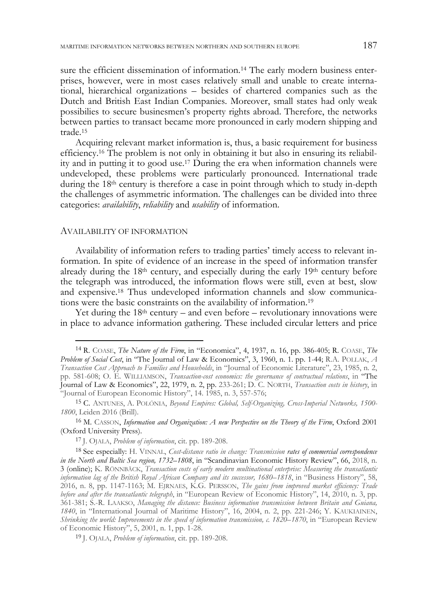sure the efficient dissemination of information.14 The early modern business enterprises, however, were in most cases relatively small and unable to create international, hierarchical organizations – besides of chartered companies such as the Dutch and British East Indian Companies. Moreover, small states had only weak possibilies to secure businesmen's property rights abroad. Therefore, the networks between parties to transact became more pronounced in early modern shipping and trade.15

Acquiring relevant market information is, thus, a basic requirement for business efficiency.16 The problem is not only in obtaining it but also in ensuring its reliability and in putting it to good use.17 During the era when information channels were undeveloped, these problems were particularly pronounced. International trade during the 18th century is therefore a case in point through which to study in-depth the challenges of asymmetric information. The challenges can be divided into three categories: *availability*, *reliability* and *usability* of information.

#### AVAILABILITY OF INFORMATION

j

Availability of information refers to trading parties' timely access to relevant information. In spite of evidence of an increase in the speed of information transfer already during the 18th century, and especially during the early 19th century before the telegraph was introduced, the information flows were still, even at best, slow and expensive.18 Thus undeveloped information channels and slow communications were the basic constraints on the availability of information.19

Yet during the  $18<sup>th</sup>$  century – and even before – revolutionary innovations were in place to advance information gathering. These included circular letters and price

<sup>14</sup> R. COASE, *The Nature of the Firm*, in "Economica", 4, 1937, n. 16, pp. 386-405; R. COASE, *The Problem of Social Cost*, in "The Journal of Law & Economics", 3, 1960, n. 1. pp. 1-44; R.A. POLLAK, *A Transaction Cost Approach to Families and Households*, in "Journal of Economic Literature", 23, 1985, n. 2, pp. 581-608; O. E. WILLIAMSON, *Transaction-cost economics: the governance of contractual relations*, in "The Journal of Law & Economics", 22, 1979, n. 2, pp. 233-261; D. C. NORTH, *Transaction costs in history*, in "Journal of European Economic History", 14. 1985, n. 3, 557-576;

<sup>15</sup> C. ANTUNES, A. POLÓNIA, *Beyond Empires: Global, Self-Organizing, Cross-Imperial Networks, 1500- 1800*, Leiden 2016 (Brill).

<sup>16</sup> M. CASSON, *Information and Organization: A new Perspective on the Theory of the Firm*, Oxford 2001 (Oxford University Press).

<sup>17</sup> J. OJALA, *Problem of information*, cit. pp. 189-208.

<sup>18</sup> See especially: H. VINNAL, *Cost-distance ratio in change: Transmission rates of commercial correspondence in the North and Baltic Sea region, 1732–1808*, in "Scandinavian Economic History Review", 66, 2018, n. 3 (online); K. RÖNNBÄCK, *Transaction costs of early modern multinational enterprise: Measuring the transatlantic information lag of the British Royal African Company and its successor, 1680–1818*, in "Business History", 58, 2016, n. 8, pp. 1147-1163; M. EJRNAES, K.G. PERSSON, *The gains from improved market efficiency: Trade before and after the transatlantic telegraph*, in "European Review of Economic History", 14, 2010, n. 3, pp. 361-381; S.-R. LAAKSO, *Managing the distance: Business information transmission between Britain and Guiana, 1840*, in "International Journal of Maritime History", 16, 2004, n. 2, pp. 221-246; Y. KAUKIAINEN, *Shrinking the world: Improvements in the speed of information transmission, c. 1820–1870*, in "European Review of Economic History", 5, 2001, n. 1, pp. 1-28.

<sup>19</sup> J. OJALA, *Problem of information*, cit. pp. 189-208.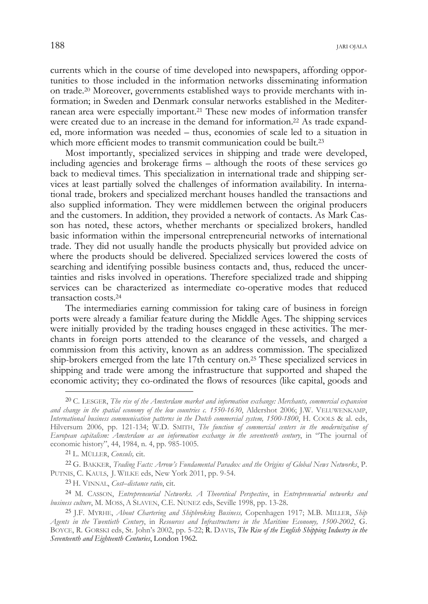currents which in the course of time developed into newspapers, affording opportunities to those included in the information networks disseminating information on trade.20 Moreover, governments established ways to provide merchants with information; in Sweden and Denmark consular networks established in the Mediterranean area were especially important.21 These new modes of information transfer were created due to an increase in the demand for information.<sup>22</sup> As trade expanded, more information was needed – thus, economies of scale led to a situation in which more efficient modes to transmit communication could be built.<sup>23</sup>

Most importantly, specialized services in shipping and trade were developed, including agencies and brokerage firms – although the roots of these services go back to medieval times. This specialization in international trade and shipping services at least partially solved the challenges of information availability. In international trade, brokers and specialized merchant houses handled the transactions and also supplied information. They were middlemen between the original producers and the customers. In addition, they provided a network of contacts. As Mark Casson has noted, these actors, whether merchants or specialized brokers, handled basic information within the impersonal entrepreneurial networks of international trade. They did not usually handle the products physically but provided advice on where the products should be delivered. Specialized services lowered the costs of searching and identifying possible business contacts and, thus, reduced the uncertainties and risks involved in operations. Therefore specialized trade and shipping services can be characterized as intermediate co-operative modes that reduced transaction costs.24

The intermediaries earning commission for taking care of business in foreign ports were already a familiar feature during the Middle Ages. The shipping services were initially provided by the trading houses engaged in these activities. The merchants in foreign ports attended to the clearance of the vessels, and charged a commission from this activity, known as an address commission. The specialized ship-brokers emerged from the late 17th century on.25 These specialized services in shipping and trade were among the infrastructure that supported and shaped the economic activity; they co-ordinated the flows of resources (like capital, goods and

-

<sup>20</sup> C. LESGER, *The rise of the Amsterdam market and information exchange: Merchants, commercial expansion and change in the spatial economy of the low countries c. 1550-1630*, Aldershot 2006; J.W. VELUWENKAMP, *International business communication patterns in the Dutch commercial system, 1500-1800*, H. COOLS & al. eds, Hilversum 2006, pp. 121-134; W.D. SMITH, *The function of commercial centers in the modernization of European capitalism: Amsterdam as an information exchange in the seventeenth century*, in "The journal of economic history", 44, 1984, n. 4, pp. 985-1005.

<sup>21</sup> L. MÜLLER, *Consuls,* cit.

<sup>22</sup> G. BAKKER, *Trading Facts: Arrow's Fundamental Paradox and the Origins of Global News Networks*, P. PUTNIS, C. KAULS, J. WILKE eds, New York 2011, pp. 9-54.

<sup>23</sup> H. VINNAL, *Cost–distance ratio*, cit.

<sup>24</sup> M. CASSON, *Entrepreneurial Networks. A Theoretical Perspective*, in *Entrepreneurial networks and business culture*, M. MOSS, <sup>A</sup> SLAVEN, C.E. NUNEZ eds, Seville 1998, pp. 13-28. 25 J.F. MYRHE, *About Chartering and Shipbroking Business,* Copenhagen 1917; M.B. MILLER, *Ship* 

*Agents in the Twentieth Century*, in *Resources and Infrastructures in the Maritime Economy, 1500-2002*, G. BOYCE, R. GORSKI eds, St. John's 2002, pp. 5-22; R. DAVIS, *The Rise of the English Shipping Industry in the Seventeenth and Eighteenth Centuries*, London 1962.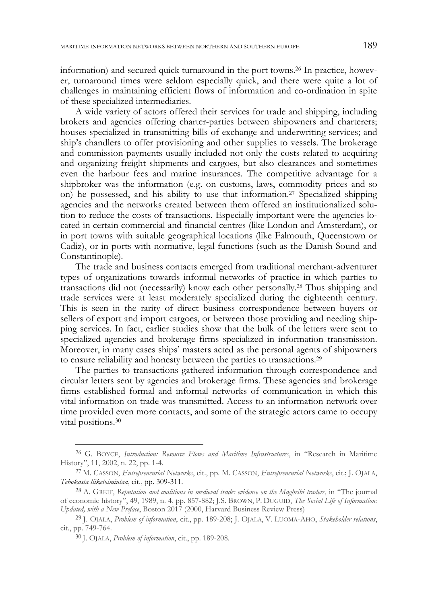information) and secured quick turnaround in the port towns.26 In practice, however, turnaround times were seldom especially quick, and there were quite a lot of challenges in maintaining efficient flows of information and co-ordination in spite of these specialized intermediaries.

A wide variety of actors offered their services for trade and shipping, including brokers and agencies offering charter-parties between shipowners and charterers; houses specialized in transmitting bills of exchange and underwriting services; and ship's chandlers to offer provisioning and other supplies to vessels. The brokerage and commission payments usually included not only the costs related to acquiring and organizing freight shipments and cargoes, but also clearances and sometimes even the harbour fees and marine insurances. The competitive advantage for a shipbroker was the information (e.g. on customs, laws, commodity prices and so on) he possessed, and his ability to use that information.27 Specialized shipping agencies and the networks created between them offered an institutionalized solution to reduce the costs of transactions. Especially important were the agencies located in certain commercial and financial centres (like London and Amsterdam), or in port towns with suitable geographical locations (like Falmouth, Queenstown or Cadiz), or in ports with normative, legal functions (such as the Danish Sound and Constantinople).

The trade and business contacts emerged from traditional merchant-adventurer types of organizations towards informal networks of practice in which parties to transactions did not (necessarily) know each other personally.28 Thus shipping and trade services were at least moderately specialized during the eighteenth century. This is seen in the rarity of direct business correspondence between buyers or sellers of export and import cargoes, or between those providing and needing shipping services. In fact, earlier studies show that the bulk of the letters were sent to specialized agencies and brokerage firms specialized in information transmission. Moreover, in many cases ships' masters acted as the personal agents of shipowners to ensure reliability and honesty between the parties to transactions.29

The parties to transactions gathered information through correspondence and circular letters sent by agencies and brokerage firms. These agencies and brokerage firms established formal and informal networks of communication in which this vital information on trade was transmitted. Access to an information network over time provided even more contacts, and some of the strategic actors came to occupy vital positions.30

<sup>26</sup> G. BOYCE, *Introduction: Resource Flows and Maritime Infrastructures*, in "Research in Maritime History", 11, 2002, n. 22, pp. 1-4.

<sup>27</sup> M. CASSON, *Entrepreneurial Networks*, cit., pp. M. CASSON, *Entrepreneurial Networks*, cit.; J. OJALA, *Tehokasta liiketoimintaa*, cit., pp. 309-311.

<sup>28</sup> A. GREIF, *Reputation and coalitions in medieval trade: evidence on the Maghribi traders*, in "The journal of economic history", 49, 1989, n. 4, pp. 857-882; J.S. BROWN, P. DUGUID, *The Social Life of Information: Updated, with a New Preface*, Boston 2017 (2000, Harvard Business Review Press)

<sup>29</sup> J. OJALA, *Problem of information*, cit., pp. 189-208; J. OJALA, V. LUOMA-AHO, *Stakeholder relations*, cit., pp. 749-764.

<sup>30</sup> J. OJALA, *Problem of information*, cit., pp. 189-208.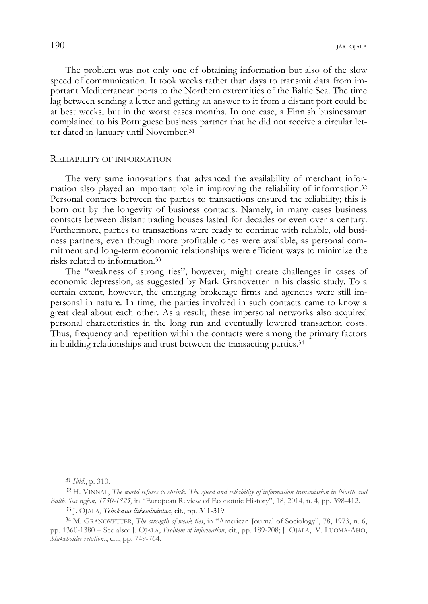The problem was not only one of obtaining information but also of the slow speed of communication. It took weeks rather than days to transmit data from important Mediterranean ports to the Northern extremities of the Baltic Sea. The time lag between sending a letter and getting an answer to it from a distant port could be at best weeks, but in the worst cases months. In one case, a Finnish businessman complained to his Portuguese business partner that he did not receive a circular letter dated in January until November.31

### RELIABILITY OF INFORMATION

The very same innovations that advanced the availability of merchant information also played an important role in improving the reliability of information.32 Personal contacts between the parties to transactions ensured the reliability; this is born out by the longevity of business contacts. Namely, in many cases business contacts between distant trading houses lasted for decades or even over a century. Furthermore, parties to transactions were ready to continue with reliable, old business partners, even though more profitable ones were available, as personal commitment and long-term economic relationships were efficient ways to minimize the risks related to information.33

The "weakness of strong ties", however, might create challenges in cases of economic depression, as suggested by Mark Granovetter in his classic study. To a certain extent, however, the emerging brokerage firms and agencies were still impersonal in nature. In time, the parties involved in such contacts came to know a great deal about each other. As a result, these impersonal networks also acquired personal characteristics in the long run and eventually lowered transaction costs. Thus, frequency and repetition within the contacts were among the primary factors in building relationships and trust between the transacting parties.34

-

<sup>31</sup>*Ibid.*, p. 310.

<sup>32</sup> H. VINNAL, *The world refuses to shrink. The speed and reliability of information transmission in North and Baltic Sea region, 1750-1825*, in "European Review of Economic History", 18, 2014, n. 4, pp. 398-412.

<sup>33</sup> J. OJALA, *Tehokasta liiketoimintaa*, cit., pp. 311-319.

<sup>34</sup> M. GRANOVETTER, *The strength of weak ties*, in "American Journal of Sociology", 78, 1973, n. 6, pp. 1360-1380 – See also: J. OJALA, *Problem of information*, cit., pp. 189-208; J. OJALA, V. LUOMA-AHO, *Stakeholder relations*, cit., pp. 749-764.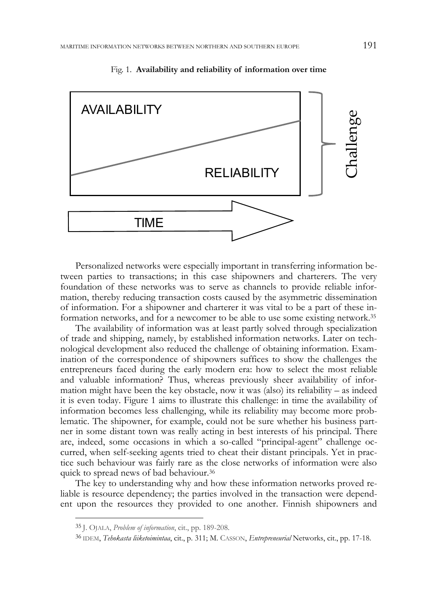

Fig. 1. **Availability and reliability of information over time** 

Personalized networks were especially important in transferring information between parties to transactions; in this case shipowners and charterers. The very foundation of these networks was to serve as channels to provide reliable information, thereby reducing transaction costs caused by the asymmetric dissemination of information. For a shipowner and charterer it was vital to be a part of these information networks, and for a newcomer to be able to use some existing network.35

The availability of information was at least partly solved through specialization of trade and shipping, namely, by established information networks. Later on technological development also reduced the challenge of obtaining information. Examination of the correspondence of shipowners suffices to show the challenges the entrepreneurs faced during the early modern era: how to select the most reliable and valuable information? Thus, whereas previously sheer availability of information might have been the key obstacle, now it was (also) its reliability – as indeed it is even today. Figure 1 aims to illustrate this challenge: in time the availability of information becomes less challenging, while its reliability may become more problematic. The shipowner, for example, could not be sure whether his business partner in some distant town was really acting in best interests of his principal. There are, indeed, some occasions in which a so-called "principal-agent" challenge occurred, when self-seeking agents tried to cheat their distant principals. Yet in practice such behaviour was fairly rare as the close networks of information were also quick to spread news of bad behaviour.36

The key to understanding why and how these information networks proved reliable is resource dependency; the parties involved in the transaction were dependent upon the resources they provided to one another. Finnish shipowners and

-

<sup>35</sup> J. OJALA, *Problem of information*, cit., pp. 189-208.

<sup>36</sup> IDEM, *Tehokasta liiketoimintaa*, cit., p. 311; M. CASSON, *Entrepreneurial* Networks, cit., pp. 17-18.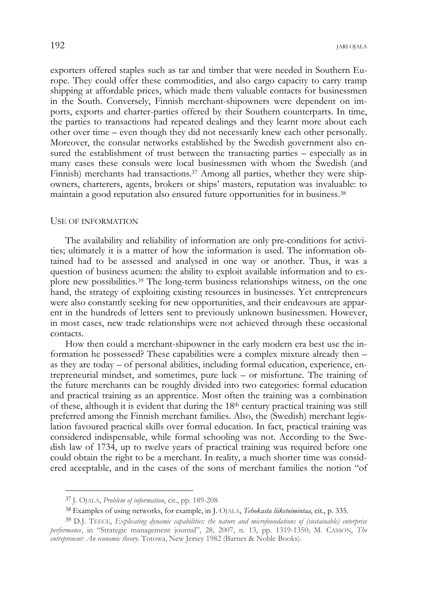exporters offered staples such as tar and timber that were needed in Southern Europe. They could offer these commodities, and also cargo capacity to carry tramp shipping at affordable prices, which made them valuable contacts for businessmen in the South. Conversely, Finnish merchant-shipowners were dependent on imports, exports and charter-parties offered by their Southern counterparts. In time, the parties to transactions had repeated dealings and they learnt more about each other over time – even though they did not necessarily knew each other personally. Moreover, the consular networks established by the Swedish government also ensured the establishment of trust between the transacting parties – especially as in many cases these consuls were local businessmen with whom the Swedish (and Finnish) merchants had transactions.<sup>37</sup> Among all parties, whether they were shipowners, charterers, agents, brokers or ships' masters, reputation was invaluable: to maintain a good reputation also ensured future opportunities for in business.38

#### USE OF INFORMATION

The availability and reliability of information are only pre-conditions for activities; ultimately it is a matter of how the information is used. The information obtained had to be assessed and analysed in one way or another. Thus, it was a question of business acumen: the ability to exploit available information and to explore new possibilities.39 The long-term business relationships witness, on the one hand, the strategy of exploiting existing resources in businesses. Yet entrepreneurs were also constantly seeking for new opportunities, and their endeavours are apparent in the hundreds of letters sent to previously unknown businessmen. However, in most cases, new trade relationships were not achieved through these occasional contacts.

How then could a merchant-shipowner in the early modern era best use the information he possessed? These capabilities were a complex mixture already then – as they are today – of personal abilities, including formal education, experience, entrepreneurial mindset, and sometimes, pure luck – or misfortune. The training of the future merchants can be roughly divided into two categories: formal education and practical training as an apprentice. Most often the training was a combination of these, although it is evident that during the 18<sup>th</sup> century practical training was still preferred among the Finnish merchant families. Also, the (Swedish) merchant legislation favoured practical skills over formal education. In fact, practical training was considered indispensable, while formal schooling was not. According to the Swedish law of 1734, up to twelve years of practical training was required before one could obtain the right to be a merchant. In reality, a much shorter time was considered acceptable, and in the cases of the sons of merchant families the notion "of

<sup>37</sup> J. OJALA, *Problem of information*, cit., pp. 189-208

<sup>38</sup> Examples of using networks, for example, in J. OJALA, *Tehokasta liiketoimintaa*, cit., p. 335.

<sup>39</sup> D.J. TEECE, *Explicating dynamic capabilities: the nature and microfoundations of (sustainable) enterprise performance*, in "Strategic management journal", 28, 2007, n. 13, pp. 1319-1350; M. CASSON, *The entrepreneur: An economic theory*. Totowa, New Jersey 1982 (Barnes & Noble Books).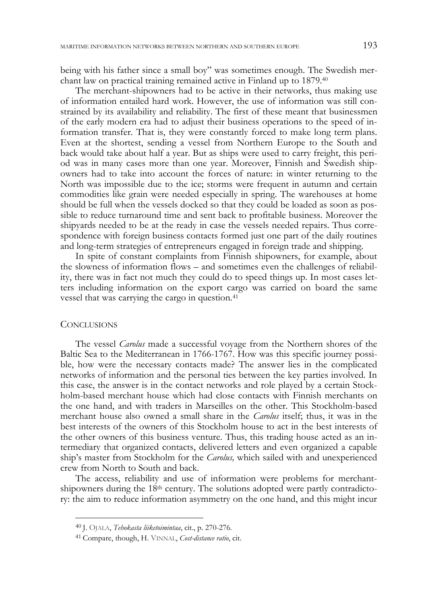being with his father since a small boy" was sometimes enough. The Swedish merchant law on practical training remained active in Finland up to 1879.40

The merchant-shipowners had to be active in their networks, thus making use of information entailed hard work. However, the use of information was still constrained by its availability and reliability. The first of these meant that businessmen of the early modern era had to adjust their business operations to the speed of information transfer. That is, they were constantly forced to make long term plans. Even at the shortest, sending a vessel from Northern Europe to the South and back would take about half a year. But as ships were used to carry freight, this period was in many cases more than one year. Moreover, Finnish and Swedish shipowners had to take into account the forces of nature: in winter returning to the North was impossible due to the ice; storms were frequent in autumn and certain commodities like grain were needed especially in spring. The warehouses at home should be full when the vessels docked so that they could be loaded as soon as possible to reduce turnaround time and sent back to profitable business. Moreover the shipyards needed to be at the ready in case the vessels needed repairs. Thus correspondence with foreign business contacts formed just one part of the daily routines and long-term strategies of entrepreneurs engaged in foreign trade and shipping.

In spite of constant complaints from Finnish shipowners, for example, about the slowness of information flows – and sometimes even the challenges of reliability, there was in fact not much they could do to speed things up. In most cases letters including information on the export cargo was carried on board the same vessel that was carrying the cargo in question.41

## **CONCLUSIONS**

-

The vessel *Carolus* made a successful voyage from the Northern shores of the Baltic Sea to the Mediterranean in 1766-1767. How was this specific journey possible, how were the necessary contacts made? The answer lies in the complicated networks of information and the personal ties between the key parties involved. In this case, the answer is in the contact networks and role played by a certain Stockholm-based merchant house which had close contacts with Finnish merchants on the one hand, and with traders in Marseilles on the other. This Stockholm-based merchant house also owned a small share in the *Carolus* itself; thus, it was in the best interests of the owners of this Stockholm house to act in the best interests of the other owners of this business venture. Thus, this trading house acted as an intermediary that organized contacts, delivered letters and even organized a capable ship's master from Stockholm for the *Carolus,* which sailed with and unexperienced crew from North to South and back.

The access, reliability and use of information were problems for merchantshipowners during the  $18<sup>th</sup>$  century. The solutions adopted were partly contradictory: the aim to reduce information asymmetry on the one hand, and this might incur

<sup>40</sup> J. OJALA, *Tehokasta liiketoimintaa*, cit., p. 270-276.

<sup>41</sup> Compare, though, H. VINNAL, *Cost-distance ratio*, cit.